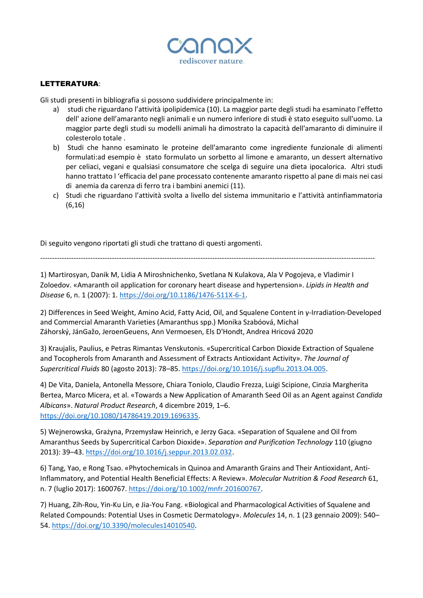

## LETTERATURA:

Gli studi presenti in bibliografia si possono suddividere principalmente in:

- a) studi che riguardano l'attività ipolipidemica (10). La maggior parte degli studi ha esaminato l'effetto dell' azione dell'amaranto negli animali e un numero inferiore di studi è stato eseguito sull'uomo. La maggior parte degli studi su modelli animali ha dimostrato la capacità dell'amaranto di diminuire il colesterolo totale .
- b) Studi che hanno esaminato le proteine dell'amaranto come ingrediente funzionale di alimenti formulati:ad esempio è stato formulato un sorbetto al limone e amaranto, un dessert alternativo per celiaci, vegani e qualsiasi consumatore che scelga di seguire una dieta ipocalorica. Altri studi hanno trattato l 'efficacia del pane processato contenente amaranto rispetto al pane di mais nei casi di anemia da carenza di ferro tra i bambini anemici (11).
- c) Studi che riguardano l'attività svolta a livello del sistema immunitario e l'attività antinfiammatoria (6,16)

Di seguito vengono riportati gli studi che trattano di questi argomenti.

--------------------------------------------------------------------------------------------------------------------------------------------

1) Martirosyan, Danik M, Lidia A Miroshnichenko, Svetlana N Kulakova, Ala V Pogojeva, e Vladimir I Zoloedov. «Amaranth oil application for coronary heart disease and hypertension». *Lipids in Health and Disease* 6, n. 1 (2007): 1. [https://doi.org/10.1186/1476-511X-6-1.](https://doi.org/10.1186/1476-511X-6-1)

2) Differences in Seed Weight, Amino Acid, Fatty Acid, Oil, and Squalene Content in γ-Irradiation-Developed and Commercial Amaranth Varieties (Amaranthus spp.) [Monika Szabóová,](https://pubmed.ncbi.nlm.nih.gov/?term=Szab%C3%B3ov%C3%A1+M&cauthor_id=33105789) [Michal](https://pubmed.ncbi.nlm.nih.gov/?term=Z%C3%A1horsk%C3%BD+M&cauthor_id=33105789)  [Záhorský,](https://pubmed.ncbi.nlm.nih.gov/?term=Z%C3%A1horsk%C3%BD+M&cauthor_id=33105789) [JánGažo](https://pubmed.ncbi.nlm.nih.gov/?term=Ga%C5%BEo+J&cauthor_id=33105789), [JeroenGeuens,](https://pubmed.ncbi.nlm.nih.gov/?term=Geuens+J&cauthor_id=33105789) [Ann Vermoesen,](https://pubmed.ncbi.nlm.nih.gov/?term=Vermoesen+A&cauthor_id=33105789) [Els D'Hondt,](https://pubmed.ncbi.nlm.nih.gov/?term=D%27Hondt+E&cauthor_id=33105789) [Andrea Hricová](https://pubmed.ncbi.nlm.nih.gov/?term=Hricov%C3%A1+A&cauthor_id=33105789) 2020

3) Kraujalis, Paulius, e Petras Rimantas Venskutonis. «Supercritical Carbon Dioxide Extraction of Squalene and Tocopherols from Amaranth and Assessment of Extracts Antioxidant Activity». *The Journal of Supercritical Fluids* 80 (agosto 2013): 78–85. [https://doi.org/10.1016/j.supflu.2013.04.005.](https://doi.org/10.1016/j.supflu.2013.04.005)

4) De Vita, Daniela, Antonella Messore, Chiara Toniolo, Claudio Frezza, Luigi Scipione, Cinzia Margherita Bertea, Marco Micera, et al. «Towards a New Application of Amaranth Seed Oil as an Agent against *Candida Albicans*». *Natural Product Research*, 4 dicembre 2019, 1–6. [https://doi.org/10.1080/14786419.2019.1696335.](https://doi.org/10.1080/14786419.2019.1696335)

5) Wejnerowska, Grażyna, Przemysław Heinrich, e Jerzy Gaca. «Separation of Squalene and Oil from Amaranthus Seeds by Supercritical Carbon Dioxide». *Separation and Purification Technology* 110 (giugno 2013): 39–43. [https://doi.org/10.1016/j.seppur.2013.02.032.](https://doi.org/10.1016/j.seppur.2013.02.032)

6) Tang, Yao, e Rong Tsao. «Phytochemicals in Quinoa and Amaranth Grains and Their Antioxidant, Anti-Inflammatory, and Potential Health Beneficial Effects: A Review». *Molecular Nutrition & Food Research* 61, n. 7 (luglio 2017): 1600767. [https://doi.org/10.1002/mnfr.201600767.](https://doi.org/10.1002/mnfr.201600767)

7) Huang, Zih-Rou, Yin-Ku Lin, e Jia-You Fang. «Biological and Pharmacological Activities of Squalene and Related Compounds: Potential Uses in Cosmetic Dermatology». *Molecules* 14, n. 1 (23 gennaio 2009): 540– 54. [https://doi.org/10.3390/molecules14010540.](https://doi.org/10.3390/molecules14010540)